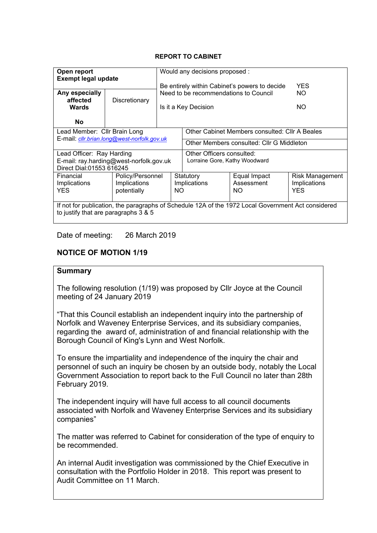#### **REPORT TO CABINET**

| Open report<br><b>Exempt legal update</b>                                                          |                  | Would any decisions proposed:<br>Be entirely within Cabinet's powers to decide<br><b>YES</b> |                                                |              |                        |
|----------------------------------------------------------------------------------------------------|------------------|----------------------------------------------------------------------------------------------|------------------------------------------------|--------------|------------------------|
| Any especially<br>affected                                                                         | Discretionary    | Need to be recommendations to Council                                                        |                                                |              | NO.                    |
| Wards                                                                                              |                  | Is it a Key Decision                                                                         |                                                |              | NO.                    |
| <b>No</b>                                                                                          |                  |                                                                                              |                                                |              |                        |
| Lead Member: Cllr Brain Long                                                                       |                  |                                                                                              | Other Cabinet Members consulted: Cllr A Beales |              |                        |
| E-mail: cllr.brian.long@west-norfolk.gov.uk                                                        |                  |                                                                                              | Other Members consulted: Cllr G Middleton      |              |                        |
| Lead Officer: Ray Harding                                                                          |                  |                                                                                              | Other Officers consulted:                      |              |                        |
| E-mail: ray.harding@west-norfolk.gov.uk<br>Direct Dial: 01553 616245                               |                  | Lorraine Gore, Kathy Woodward                                                                |                                                |              |                        |
| Financial                                                                                          | Policy/Personnel |                                                                                              | Statutory                                      | Equal Impact | <b>Risk Management</b> |
| Implications                                                                                       | Implications     |                                                                                              | Implications                                   | Assessment   | Implications           |
| <b>YES</b>                                                                                         |                  | potentially<br>NO.                                                                           |                                                | NO.          | <b>YES</b>             |
| If not for publication, the paragraphs of Schedule 12A of the 1972 Local Government Act considered |                  |                                                                                              |                                                |              |                        |
| to justify that are paragraphs 3 & 5                                                               |                  |                                                                                              |                                                |              |                        |

Date of meeting: 26 March 2019

# **NOTICE OF MOTION 1/19**

#### **Summary**

The following resolution (1/19) was proposed by Cllr Joyce at the Council meeting of 24 January 2019

"That this Council establish an independent inquiry into the partnership of Norfolk and Waveney Enterprise Services, and its subsidiary companies, regarding the award of, administration of and financial relationship with the Borough Council of King's Lynn and West Norfolk.

To ensure the impartiality and independence of the inquiry the chair and personnel of such an inquiry be chosen by an outside body, notably the Local Government Association to report back to the Full Council no later than 28th February 2019.

The independent inquiry will have full access to all council documents associated with Norfolk and Waveney Enterprise Services and its subsidiary companies"

The matter was referred to Cabinet for consideration of the type of enquiry to be recommended.

An internal Audit investigation was commissioned by the Chief Executive in consultation with the Portfolio Holder in 2018. This report was present to Audit Committee on 11 March.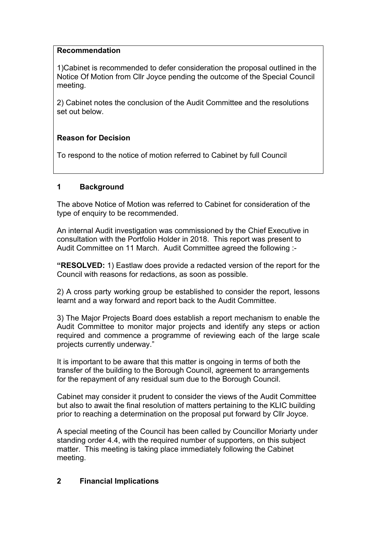#### **Recommendation**

1)Cabinet is recommended to defer consideration the proposal outlined in the Notice Of Motion from Cllr Joyce pending the outcome of the Special Council meeting.

2) Cabinet notes the conclusion of the Audit Committee and the resolutions set out below.

## **Reason for Decision**

To respond to the notice of motion referred to Cabinet by full Council

## **1 Background**

The above Notice of Motion was referred to Cabinet for consideration of the type of enquiry to be recommended.

An internal Audit investigation was commissioned by the Chief Executive in consultation with the Portfolio Holder in 2018. This report was present to Audit Committee on 11 March. Audit Committee agreed the following :-

**"RESOLVED:** 1) Eastlaw does provide a redacted version of the report for the Council with reasons for redactions, as soon as possible.

2) A cross party working group be established to consider the report, lessons learnt and a way forward and report back to the Audit Committee.

3) The Major Projects Board does establish a report mechanism to enable the Audit Committee to monitor major projects and identify any steps or action required and commence a programme of reviewing each of the large scale projects currently underway."

It is important to be aware that this matter is ongoing in terms of both the transfer of the building to the Borough Council, agreement to arrangements for the repayment of any residual sum due to the Borough Council.

Cabinet may consider it prudent to consider the views of the Audit Committee but also to await the final resolution of matters pertaining to the KLIC building prior to reaching a determination on the proposal put forward by Cllr Joyce.

A special meeting of the Council has been called by Councillor Moriarty under standing order 4.4, with the required number of supporters, on this subject matter. This meeting is taking place immediately following the Cabinet meeting.

## **2 Financial Implications**